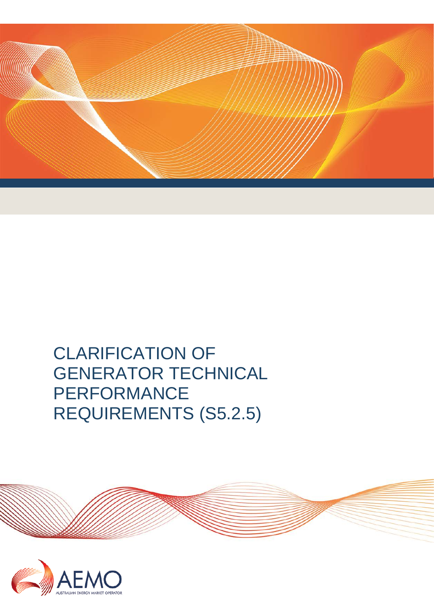

# CLARIFICATION OF GENERATOR TECHNICAL PERFORMANCE REQUIREMENTS (S5.2.5)



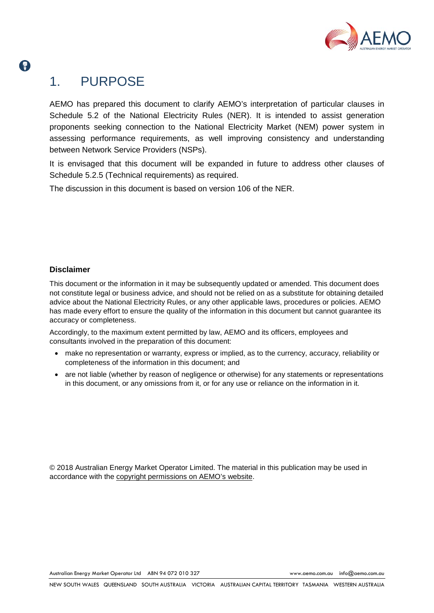

## 1. PURPOSE

2

AEMO has prepared this document to clarify AEMO's interpretation of particular clauses in Schedule 5.2 of the National Electricity Rules (NER). It is intended to assist generation proponents seeking connection to the National Electricity Market (NEM) power system in assessing performance requirements, as well improving consistency and understanding between Network Service Providers (NSPs).

It is envisaged that this document will be expanded in future to address other clauses of Schedule 5.2.5 (Technical requirements) as required.

The discussion in this document is based on version 106 of the NER.

#### **Disclaimer**

This document or the information in it may be subsequently updated or amended. This document does not constitute legal or business advice, and should not be relied on as a substitute for obtaining detailed advice about the National Electricity Rules, or any other applicable laws, procedures or policies. AEMO has made every effort to ensure the quality of the information in this document but cannot guarantee its accuracy or completeness.

Accordingly, to the maximum extent permitted by law, AEMO and its officers, employees and consultants involved in the preparation of this document:

- make no representation or warranty, express or implied, as to the currency, accuracy, reliability or completeness of the information in this document; and
- are not liable (whether by reason of negligence or otherwise) for any statements or representations in this document, or any omissions from it, or for any use or reliance on the information in it.

© 2018 Australian Energy Market Operator Limited. The material in this publication may be used in accordance with the [copyright permissions on AEMO's website.](http://aemo.com.au/Privacy_and_Legal_Notices/Copyright_Permissions_Notice)

Australian Energy Market Operator Ltd ABN 94 072 010 327 [www.aemo.com.au](http://www.aemo.com.au/) [info@aemo.com.au](mailto:info@aemo.com.au)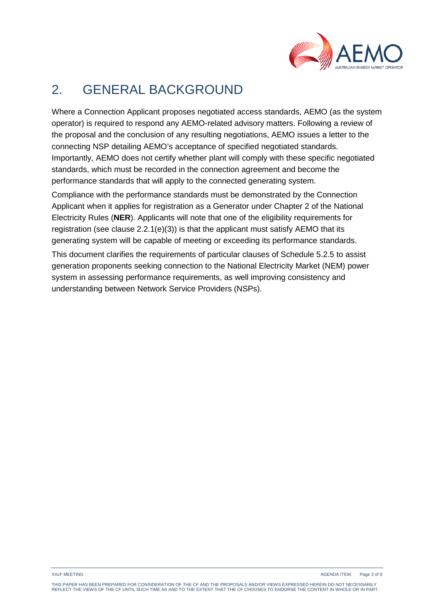

## 2. GENERAL BACKGROUND

Where a Connection Applicant proposes negotiated access standards, AEMO (as the system operator) is required to respond any AEMO-related advisory matters. Following a review of the proposal and the conclusion of any resulting negotiations, AEMO issues a letter to the connecting NSP detailing AEMO's acceptance of specified negotiated standards. Importantly, AEMO does not certify whether plant will comply with these specific negotiated standards, which must be recorded in the connection agreement and become the performance standards that will apply to the connected generating system.

Compliance with the performance standards must be demonstrated by the Connection Applicant when it applies for registration as a Generator under Chapter 2 of the National Electricity Rules (**NER**). Applicants will note that one of the eligibility requirements for registration (see clause  $2.2.1(e)(3)$ ) is that the applicant must satisfy AEMO that its generating system will be capable of meeting or exceeding its performance standards.

This document clarifies the requirements of particular clauses of Schedule 5.2.5 to assist generation proponents seeking connection to the National Electricity Market (NEM) power system in assessing performance requirements, as well improving consistency and understanding between Network Service Providers (NSPs).

XXcF MEETING AGENDA ITEM: Page 3 of 9

THIS PAPER HAS BEEN PREPARED FOR CONSIDERATION OF THE CF AND THE PROPOSALS AND/OR VIEWS EXPRESSED HEREIN DO NOT NECESSARILY REFLECT THE VIEWS OF THE CF UNTIL SUCH TIME AS AND TO THE EXTENT THAT THE CF CHOOSES TO ENDORSE THE CONTENT IN WHOLE OR IN PART.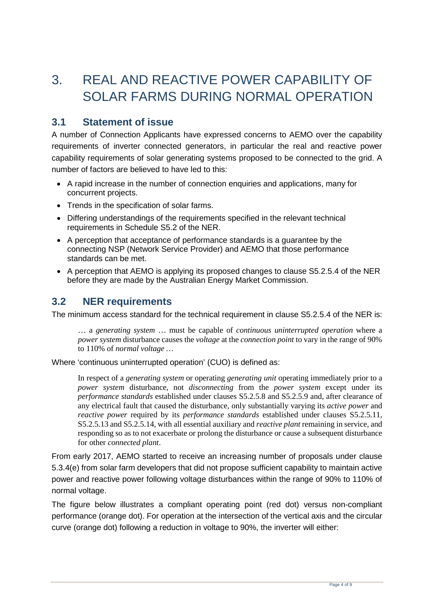## 3. REAL AND REACTIVE POWER CAPABILITY OF SOLAR FARMS DURING NORMAL OPERATION

### **3.1 Statement of issue**

A number of Connection Applicants have expressed concerns to AEMO over the capability requirements of inverter connected generators, in particular the real and reactive power capability requirements of solar generating systems proposed to be connected to the grid. A number of factors are believed to have led to this:

- A rapid increase in the number of connection enquiries and applications, many for concurrent projects.
- Trends in the specification of solar farms.
- Differing understandings of the requirements specified in the relevant technical requirements in Schedule S5.2 of the NER.
- A perception that acceptance of performance standards is a guarantee by the connecting NSP (Network Service Provider) and AEMO that those performance standards can be met.
- A perception that AEMO is applying its proposed changes to clause S5.2.5.4 of the NER before they are made by the Australian Energy Market Commission.

## **3.2 NER requirements**

The minimum access standard for the technical requirement in clause S5.2.5.4 of the NER is:

… a *generating system* … must be capable of *continuous uninterrupted operation* where a *power system* disturbance causes the *voltage* at the *connection point* to vary in the range of 90% to 110% of *normal voltage …*

Where 'continuous uninterrupted operation' (CUO) is defined as:

In respect of a *generating system* or operating *generating unit* operating immediately prior to a *power system* disturbance, not *disconnecting* from the *power system* except under its *performance standards* established under clauses S5.2.5.8 and S5.2.5.9 and, after clearance of any electrical fault that caused the disturbance, only substantially varying its *active power* and *reactive power* required by its *performance standards* established under clauses S5.2.5.11, S5.2.5.13 and S5.2.5.14, with all essential auxiliary and *reactive plant* remaining in service, and responding so as to not exacerbate or prolong the disturbance or cause a subsequent disturbance for other *connected plant*.

From early 2017, AEMO started to receive an increasing number of proposals under clause 5.3.4(e) from solar farm developers that did not propose sufficient capability to maintain active power and reactive power following voltage disturbances within the range of 90% to 110% of normal voltage.

The figure below illustrates a compliant operating point (red dot) versus non-compliant performance (orange dot). For operation at the intersection of the vertical axis and the circular curve (orange dot) following a reduction in voltage to 90%, the inverter will either: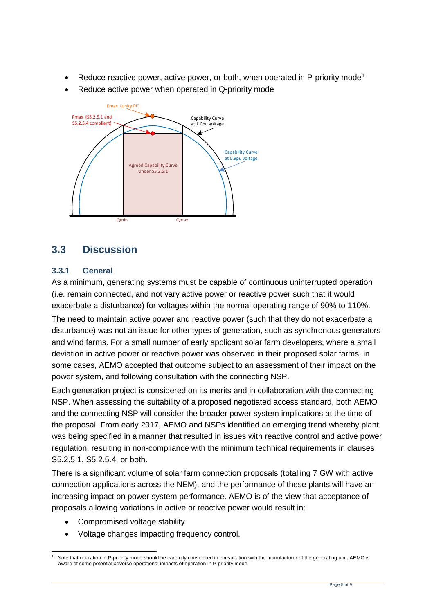- Reduce reactive power, active power, or both, when operated in P-priority mode<sup>[1](#page-4-0)</sup>
- Reduce active power when operated in Q-priority mode



## <span id="page-4-1"></span>**3.3 Discussion**

#### **3.3.1 General**

As a minimum, generating systems must be capable of continuous uninterrupted operation (i.e. remain connected, and not vary active power or reactive power such that it would exacerbate a disturbance) for voltages within the normal operating range of 90% to 110%.

The need to maintain active power and reactive power (such that they do not exacerbate a disturbance) was not an issue for other types of generation, such as synchronous generators and wind farms. For a small number of early applicant solar farm developers, where a small deviation in active power or reactive power was observed in their proposed solar farms, in some cases, AEMO accepted that outcome subject to an assessment of their impact on the power system, and following consultation with the connecting NSP.

Each generation project is considered on its merits and in collaboration with the connecting NSP. When assessing the suitability of a proposed negotiated access standard, both AEMO and the connecting NSP will consider the broader power system implications at the time of the proposal. From early 2017, AEMO and NSPs identified an emerging trend whereby plant was being specified in a manner that resulted in issues with reactive control and active power regulation, resulting in non-compliance with the minimum technical requirements in clauses S5.2.5.1, S5.2.5.4, or both.

There is a significant volume of solar farm connection proposals (totalling 7 GW with active connection applications across the NEM), and the performance of these plants will have an increasing impact on power system performance. AEMO is of the view that acceptance of proposals allowing variations in active or reactive power would result in:

- Compromised voltage stability.
- Voltage changes impacting frequency control.

<span id="page-4-0"></span>Note that operation in P-priority mode should be carefully considered in consultation with the manufacturer of the generating unit. AEMO is aware of some potential adverse operational impacts of operation in P-priority mode.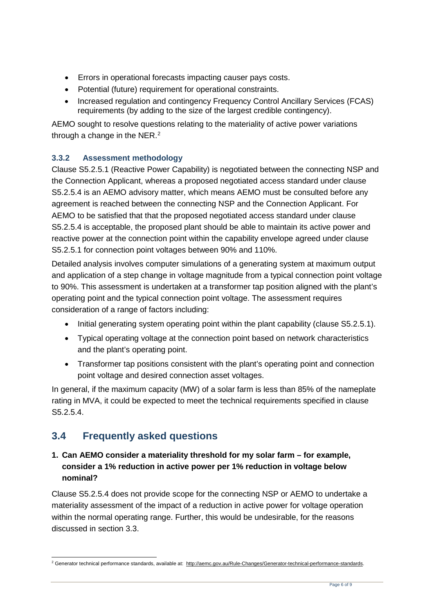- Errors in operational forecasts impacting causer pays costs.
- Potential (future) requirement for operational constraints.
- Increased regulation and contingency Frequency Control Ancillary Services (FCAS) requirements (by adding to the size of the largest credible contingency).

AEMO sought to resolve questions relating to the materiality of active power variations through a change in the NER.<sup>[2](#page-5-0)</sup>

#### **3.3.2 Assessment methodology**

Clause S5.2.5.1 (Reactive Power Capability) is negotiated between the connecting NSP and the Connection Applicant, whereas a proposed negotiated access standard under clause S5.2.5.4 is an AEMO advisory matter, which means AEMO must be consulted before any agreement is reached between the connecting NSP and the Connection Applicant. For AEMO to be satisfied that that the proposed negotiated access standard under clause S5.2.5.4 is acceptable, the proposed plant should be able to maintain its active power and reactive power at the connection point within the capability envelope agreed under clause S5.2.5.1 for connection point voltages between 90% and 110%.

Detailed analysis involves computer simulations of a generating system at maximum output and application of a step change in voltage magnitude from a typical connection point voltage to 90%. This assessment is undertaken at a transformer tap position aligned with the plant's operating point and the typical connection point voltage. The assessment requires consideration of a range of factors including:

- Initial generating system operating point within the plant capability (clause S5.2.5.1).
- Typical operating voltage at the connection point based on network characteristics and the plant's operating point.
- Transformer tap positions consistent with the plant's operating point and connection point voltage and desired connection asset voltages.

In general, if the maximum capacity (MW) of a solar farm is less than 85% of the nameplate rating in MVA, it could be expected to meet the technical requirements specified in clause S5.2.5.4.

## **3.4 Frequently asked questions**

#### **1. Can AEMO consider a materiality threshold for my solar farm – for example, consider a 1% reduction in active power per 1% reduction in voltage below nominal?**

Clause S5.2.5.4 does not provide scope for the connecting NSP or AEMO to undertake a materiality assessment of the impact of a reduction in active power for voltage operation within the normal operating range. Further, this would be undesirable, for the reasons discussed in section [3.3.](#page-4-1)

<span id="page-5-0"></span> <sup>2</sup> Generator technical performance standards, available at: [http://aemc.gov.au/Rule-Changes/Generator-technical-performance-standards.](http://aemc.gov.au/Rule-Changes/Generator-technical-performance-standards)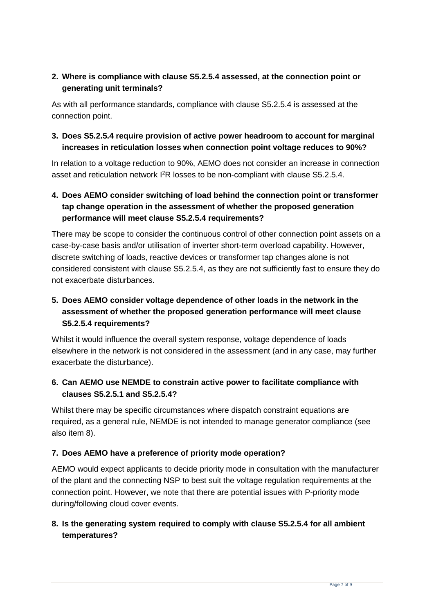#### **2. Where is compliance with clause S5.2.5.4 assessed, at the connection point or generating unit terminals?**

As with all performance standards, compliance with clause S5.2.5.4 is assessed at the connection point.

#### **3. Does S5.2.5.4 require provision of active power headroom to account for marginal increases in reticulation losses when connection point voltage reduces to 90%?**

In relation to a voltage reduction to 90%, AEMO does not consider an increase in connection asset and reticulation network <sup>12</sup>R losses to be non-compliant with clause S5.2.5.4.

#### **4. Does AEMO consider switching of load behind the connection point or transformer tap change operation in the assessment of whether the proposed generation performance will meet clause S5.2.5.4 requirements?**

There may be scope to consider the continuous control of other connection point assets on a case-by-case basis and/or utilisation of inverter short-term overload capability. However, discrete switching of loads, reactive devices or transformer tap changes alone is not considered consistent with clause S5.2.5.4, as they are not sufficiently fast to ensure they do not exacerbate disturbances.

#### **5. Does AEMO consider voltage dependence of other loads in the network in the assessment of whether the proposed generation performance will meet clause S5.2.5.4 requirements?**

Whilst it would influence the overall system response, voltage dependence of loads elsewhere in the network is not considered in the assessment (and in any case, may further exacerbate the disturbance).

#### **6. Can AEMO use NEMDE to constrain active power to facilitate compliance with clauses S5.2.5.1 and S5.2.5.4?**

Whilst there may be specific circumstances where dispatch constraint equations are required, as a general rule, NEMDE is not intended to manage generator compliance (see also item 8).

#### **7. Does AEMO have a preference of priority mode operation?**

AEMO would expect applicants to decide priority mode in consultation with the manufacturer of the plant and the connecting NSP to best suit the voltage regulation requirements at the connection point. However, we note that there are potential issues with P-priority mode during/following cloud cover events.

#### **8. Is the generating system required to comply with clause S5.2.5.4 for all ambient temperatures?**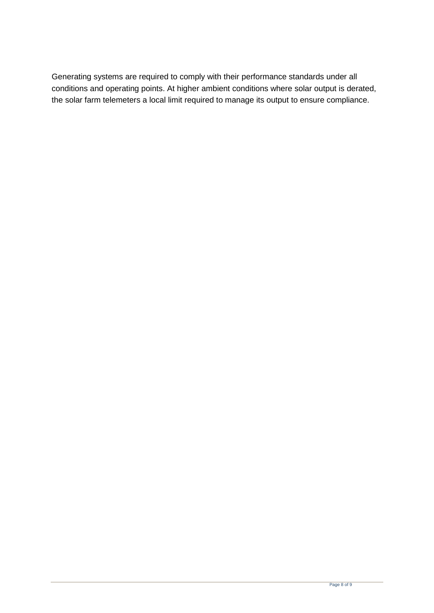Generating systems are required to comply with their performance standards under all conditions and operating points. At higher ambient conditions where solar output is derated, the solar farm telemeters a local limit required to manage its output to ensure compliance.